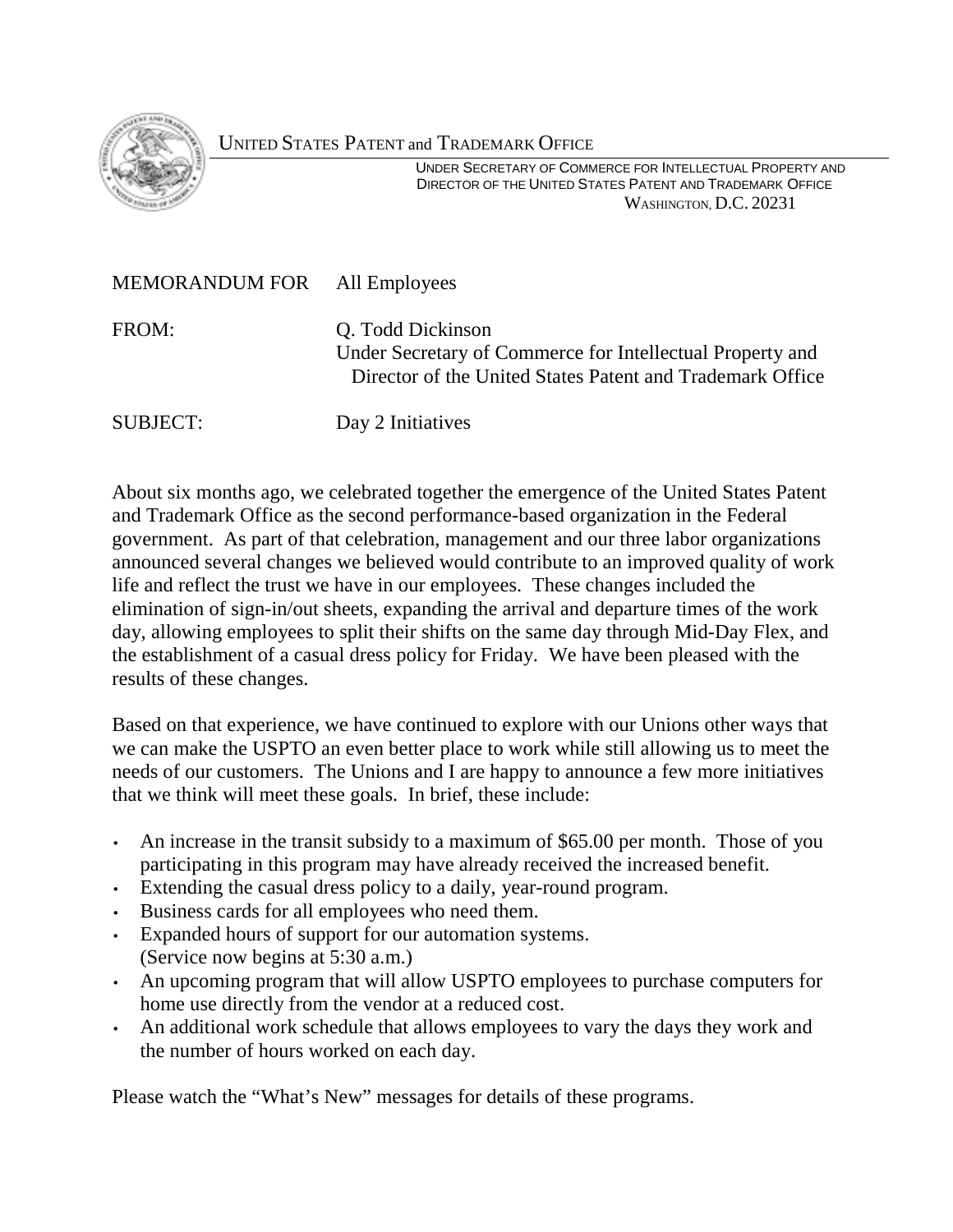

## UNITED STATES PATENT and TRADEMARK OFFICE

 UNDER SECRETARY OF COMMERCE FOR INTELLECTUAL PROPERTY AND DIRECTOR OF THE UNITED STATES PATENT AND TRADEMARK OFFICE WASHINGTON, D.C. 20231

| MEMORANDUM FOR All Employees |                                                                                                                                             |
|------------------------------|---------------------------------------------------------------------------------------------------------------------------------------------|
| FROM:                        | Q. Todd Dickinson<br>Under Secretary of Commerce for Intellectual Property and<br>Director of the United States Patent and Trademark Office |
| <b>SUBJECT:</b>              | Day 2 Initiatives                                                                                                                           |

About six months ago, we celebrated together the emergence of the United States Patent and Trademark Office as the second performance-based organization in the Federal government. As part of that celebration, management and our three labor organizations announced several changes we believed would contribute to an improved quality of work life and reflect the trust we have in our employees. These changes included the elimination of sign-in/out sheets, expanding the arrival and departure times of the work day, allowing employees to split their shifts on the same day through Mid-Day Flex, and the establishment of a casual dress policy for Friday. We have been pleased with the results of these changes.

Based on that experience, we have continued to explore with our Unions other ways that we can make the USPTO an even better place to work while still allowing us to meet the needs of our customers. The Unions and I are happy to announce a few more initiatives that we think will meet these goals. In brief, these include:

- An increase in the transit subsidy to a maximum of \$65.00 per month. Those of you participating in this program may have already received the increased benefit.
- Extending the casual dress policy to a daily, year-round program.
- Business cards for all employees who need them.
- Expanded hours of support for our automation systems. (Service now begins at 5:30 a.m.)
- An upcoming program that will allow USPTO employees to purchase computers for home use directly from the vendor at a reduced cost.
- An additional work schedule that allows employees to vary the days they work and the number of hours worked on each day.

Please watch the "What's New" messages for details of these programs.